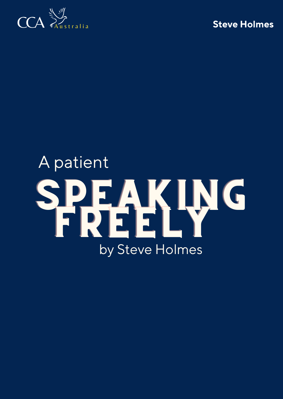



# SPEAKING FREELY A patient by Steve Holmes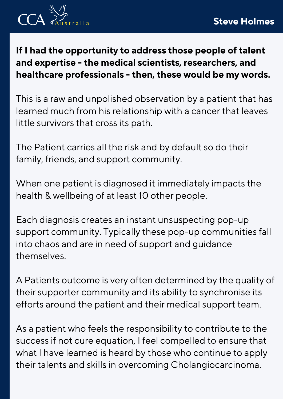

**If I had the opportunity to address those people of talent and expertise - the medical scientists, researchers, and healthcare professionals - then, these would be my words.**

This is a raw and unpolished observation by a patient that has learned much from his relationship with a cancer that leaves little survivors that cross its path.

The Patient carries all the risk and by default so do their family, friends, and support community.

When one patient is diagnosed it immediately impacts the health & wellbeing of at least 10 other people.

Each diagnosis creates an instant unsuspecting pop-up support community. Typically these pop-up communities fall into chaos and are in need of support and guidance themselves.

A Patients outcome is very often determined by the quality of their supporter community and its ability to synchronise its efforts around the patient and their medical support team.

As a patient who feels the responsibility to contribute to the success if not cure equation, I feel compelled to ensure that what I have learned is heard by those who continue to apply their talents and skills in overcoming Cholangiocarcinoma.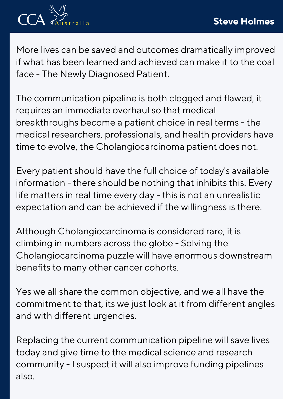

More lives can be saved and outcomes dramatically improved if what has been learned and achieved can make it to the coal face - The Newly Diagnosed Patient.

The communication pipeline is both clogged and flawed, it requires an immediate overhaul so that medical breakthroughs become a patient choice in real terms - the medical researchers, professionals, and health providers have time to evolve, the Cholangiocarcinoma patient does not.

Every patient should have the full choice of today's available information - there should be nothing that inhibits this. Every life matters in real time every day - this is not an unrealistic expectation and can be achieved if the willingness is there.

Although Cholangiocarcinoma is considered rare, it is climbing in numbers across the globe - Solving the Cholangiocarcinoma puzzle will have enormous downstream benefits to many other cancer cohorts.

Yes we all share the common objective, and we all have the commitment to that, its we just look at it from different angles and with different urgencies.

Replacing the current communication pipeline will save lives today and give time to the medical science and research community - I suspect it will also improve funding pipelines also.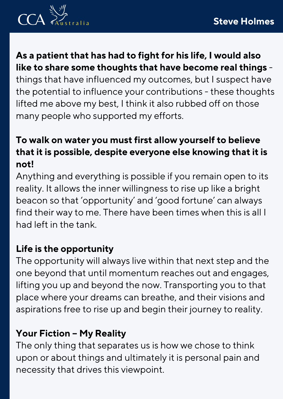

**As a patient that has had to fight for his life, I would also like to share some thoughts that have become real things** things that have influenced my outcomes, but I suspect have the potential to influence your contributions - these thoughts lifted me above my best, I think it also rubbed off on those many people who supported my efforts.

## **To walk on water you must first allow yourself to believe that it is possible, despite everyone else knowing that it is not!**

Anything and everything is possible if you remain open to its reality. It allows the inner willingness to rise up like a bright beacon so that ' opportunity ' and ' good fortune ' can always find their way to me. There have been times when this is all I had left in the tank.

### **Life is the opportunity**

The opportunity will always live within that next step and the one beyond that until momentum reaches out and engages, lifting you up and beyond the now. Transporting you to that place where your dreams can breathe, and their visions and aspirations free to rise up and begin their journey to reality.

## **Your Fiction – My Reality**

The only thing that separates us is how we chose to think upon or about things and ultimately it is personal pain and necessity that drives this viewpoint.